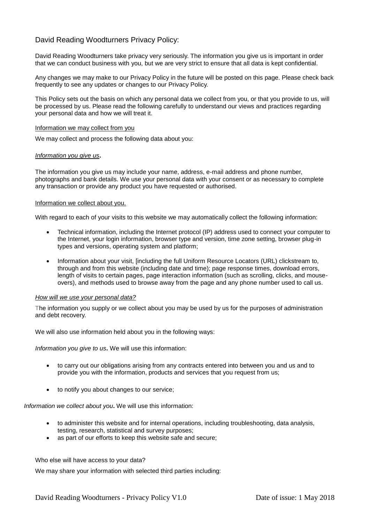# David Reading Woodturners Privacy Policy:

David Reading Woodturners take privacy very seriously. The information you give us is important in order that we can conduct business with you, but we are very strict to ensure that all data is kept confidential.

Any changes we may make to our Privacy Policy in the future will be posted on this page. Please check back frequently to see any updates or changes to our Privacy Policy.

This Policy sets out the basis on which any personal data we collect from you, or that you provide to us, will be processed by us. Please read the following carefully to understand our views and practices regarding your personal data and how we will treat it.

#### Information we may collect from you

We may collect and process the following data about you:

## *Information you give us***.**

The information you give us may include your name, address, e-mail address and phone number, photographs and bank details. We use your personal data with your consent or as necessary to complete any transaction or provide any product you have requested or authorised.

## Information we collect about you.

With regard to each of your visits to this website we may automatically collect the following information:

- Technical information, including the Internet protocol (IP) address used to connect your computer to the Internet, your login information, browser type and version, time zone setting, browser plug-in types and versions, operating system and platform;
- Information about your visit, [including the full Uniform Resource Locators (URL) clickstream to, through and from this website (including date and time); page response times, download errors, length of visits to certain pages, page interaction information (such as scrolling, clicks, and mouseovers), and methods used to browse away from the page and any phone number used to call us.

#### *How will we use your personal data?*

The information you supply or we collect about you may be used by us for the purposes of administration and debt recovery.

We will also use information held about you in the following ways:

*Information you give to us***.** We will use this information:

- to carry out our obligations arising from any contracts entered into between you and us and to provide you with the information, products and services that you request from us;
- to notify you about changes to our service;

*Information we collect about you***.** We will use this information:

- to administer this website and for internal operations, including troubleshooting, data analysis, testing, research, statistical and survey purposes;
- as part of our efforts to keep this website safe and secure;

Who else will have access to your data?

We may share your information with selected third parties including: